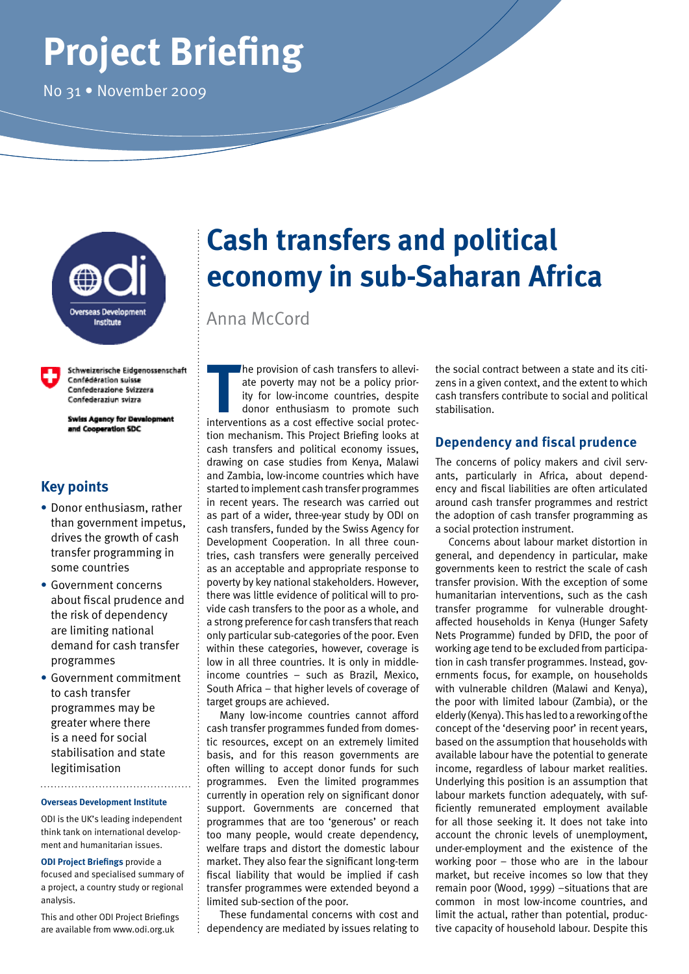# **Project Briefing**

No 31 • November 2009



Schweizerische Eidgenossenschaft Confédération suisse Confederazione Svizzera Confederaziun svizra

**Swiss Agency for Development** and Cooperation SDC

# **Key points**

- **•** Donor enthusiasm, rather than government impetus, drives the growth of cash transfer programming in some countries
- **•** Government concerns about fiscal prudence and the risk of dependency are limiting national demand for cash transfer programmes
- **•** Government commitment to cash transfer programmes may be greater where there is a need for social stabilisation and state legitimisation

#### **Overseas Development Institute**

ODI is the UK's leading independent think tank on international development and humanitarian issues.

**ODI Project Briefings** provide a focused and specialised summary of a project, a country study or regional analysis.

This and other ODI Project Briefings are available from www.odi.org.uk

# **Cash transfers and political economy in sub-Saharan Africa**

Anna McCord

**The provision of cash transfers to alleviate poverty may not be a policy priority for low-income countries, despite donor enthusiasm to promote such interventions as a cost effective social protec**he provision of cash transfers to alleviate poverty may not be a policy priority for low-income countries, despite donor enthusiasm to promote such tion mechanism. This Project Briefing looks at cash transfers and political economy issues, drawing on case studies from Kenya, Malawi and Zambia, low-income countries which have started to implement cash transfer programmes in recent years. The research was carried out as part of a wider, three-year study by ODI on cash transfers, funded by the Swiss Agency for Development Cooperation. In all three countries, cash transfers were generally perceived as an acceptable and appropriate response to poverty by key national stakeholders. However, there was little evidence of political will to provide cash transfers to the poor as a whole, and a strong preference for cash transfers that reach only particular sub-categories of the poor. Even within these categories, however, coverage is low in all three countries. It is only in middleincome countries – such as Brazil, Mexico, South Africa – that higher levels of coverage of target groups are achieved.

Many low-income countries cannot afford cash transfer programmes funded from domestic resources, except on an extremely limited basis, and for this reason governments are often willing to accept donor funds for such programmes. Even the limited programmes currently in operation rely on significant donor support. Governments are concerned that programmes that are too 'generous' or reach too many people, would create dependency, welfare traps and distort the domestic labour market. They also fear the significant long-term fiscal liability that would be implied if cash transfer programmes were extended beyond a limited sub-section of the poor.

These fundamental concerns with cost and dependency are mediated by issues relating to

the social contract between a state and its citizens in a given context, and the extent to which cash transfers contribute to social and political stabilisation.

# **Dependency and fiscal prudence**

The concerns of policy makers and civil servants, particularly in Africa, about dependency and fiscal liabilities are often articulated around cash transfer programmes and restrict the adoption of cash transfer programming as a social protection instrument.

Concerns about labour market distortion in general, and dependency in particular, make governments keen to restrict the scale of cash transfer provision. With the exception of some humanitarian interventions, such as the cash transfer programme for vulnerable droughtaffected households in Kenya (Hunger Safety Nets Programme) funded by DFID, the poor of working age tend to be excluded from participation in cash transfer programmes. Instead, governments focus, for example, on households with vulnerable children (Malawi and Kenya), the poor with limited labour (Zambia), or the elderly (Kenya). This has led to a reworking of the concept of the 'deserving poor' in recent years, based on the assumption that households with available labour have the potential to generate income, regardless of labour market realities. Underlying this position is an assumption that labour markets function adequately, with sufficiently remunerated employment available for all those seeking it. It does not take into account the chronic levels of unemployment, under-employment and the existence of the working poor – those who are in the labour market, but receive incomes so low that they remain poor (Wood, 1999) –situations that are common in most low-income countries, and limit the actual, rather than potential, productive capacity of household labour. Despite this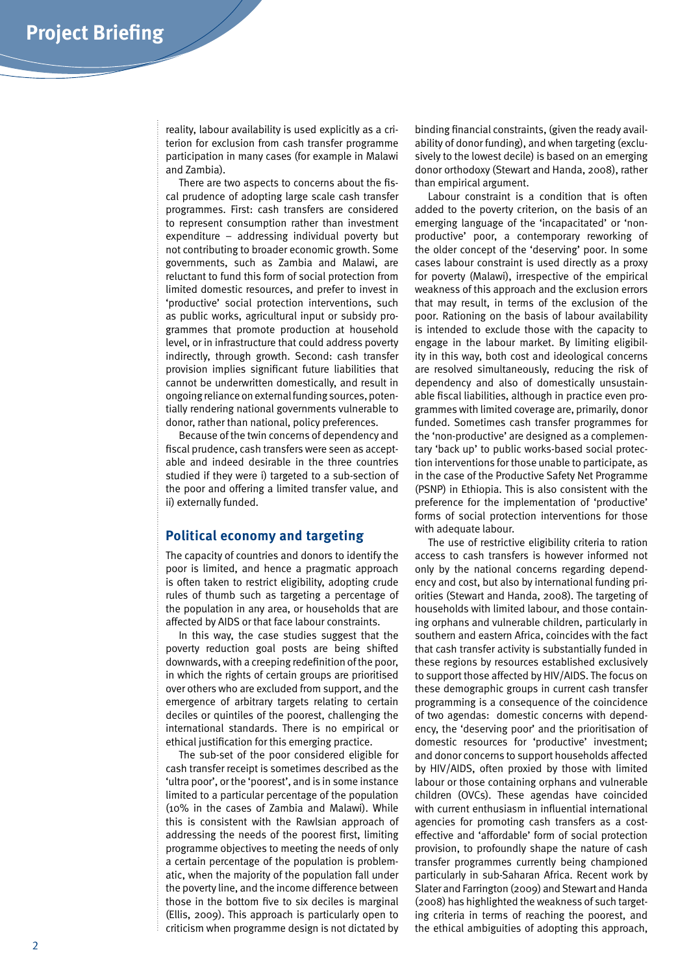reality, labour availability is used explicitly as a criterion for exclusion from cash transfer programme participation in many cases (for example in Malawi and Zambia).

There are two aspects to concerns about the fiscal prudence of adopting large scale cash transfer programmes. First: cash transfers are considered to represent consumption rather than investment expenditure – addressing individual poverty but not contributing to broader economic growth. Some governments, such as Zambia and Malawi, are reluctant to fund this form of social protection from limited domestic resources, and prefer to invest in 'productive' social protection interventions, such as public works, agricultural input or subsidy programmes that promote production at household level, or in infrastructure that could address poverty indirectly, through growth. Second: cash transfer provision implies significant future liabilities that cannot be underwritten domestically, and result in ongoing reliance on external funding sources, potentially rendering national governments vulnerable to donor, rather than national, policy preferences.

Because of the twin concerns of dependency and fiscal prudence, cash transfers were seen as acceptable and indeed desirable in the three countries studied if they were i) targeted to a sub-section of the poor and offering a limited transfer value, and ii) externally funded.

#### **Political economy and targeting**

The capacity of countries and donors to identify the poor is limited, and hence a pragmatic approach is often taken to restrict eligibility, adopting crude rules of thumb such as targeting a percentage of the population in any area, or households that are affected by AIDS or that face labour constraints.

In this way, the case studies suggest that the poverty reduction goal posts are being shifted downwards, with a creeping redefinition of the poor, in which the rights of certain groups are prioritised over others who are excluded from support, and the emergence of arbitrary targets relating to certain deciles or quintiles of the poorest, challenging the international standards. There is no empirical or ethical justification for this emerging practice.

The sub-set of the poor considered eligible for cash transfer receipt is sometimes described as the 'ultra poor', or the 'poorest', and is in some instance limited to a particular percentage of the population (10% in the cases of Zambia and Malawi). While this is consistent with the Rawlsian approach of addressing the needs of the poorest first, limiting programme objectives to meeting the needs of only a certain percentage of the population is problematic, when the majority of the population fall under the poverty line, and the income difference between those in the bottom five to six deciles is marginal (Ellis, 2009). This approach is particularly open to criticism when programme design is not dictated by

binding financial constraints, (given the ready availability of donor funding), and when targeting (exclusively to the lowest decile) is based on an emerging donor orthodoxy (Stewart and Handa, 2008), rather than empirical argument.

Labour constraint is a condition that is often added to the poverty criterion, on the basis of an emerging language of the 'incapacitated' or 'nonproductive' poor, a contemporary reworking of the older concept of the 'deserving' poor. In some cases labour constraint is used directly as a proxy for poverty (Malawi), irrespective of the empirical weakness of this approach and the exclusion errors that may result, in terms of the exclusion of the poor. Rationing on the basis of labour availability is intended to exclude those with the capacity to engage in the labour market. By limiting eligibility in this way, both cost and ideological concerns are resolved simultaneously, reducing the risk of dependency and also of domestically unsustainable fiscal liabilities, although in practice even programmes with limited coverage are, primarily, donor funded. Sometimes cash transfer programmes for the 'non-productive' are designed as a complementary 'back up' to public works-based social protection interventions for those unable to participate, as in the case of the Productive Safety Net Programme (PSNP) in Ethiopia. This is also consistent with the preference for the implementation of 'productive' forms of social protection interventions for those with adequate labour.

The use of restrictive eligibility criteria to ration access to cash transfers is however informed not only by the national concerns regarding dependency and cost, but also by international funding priorities (Stewart and Handa, 2008). The targeting of households with limited labour, and those containing orphans and vulnerable children, particularly in southern and eastern Africa, coincides with the fact that cash transfer activity is substantially funded in these regions by resources established exclusively to support those affected by HIV/AIDS. The focus on these demographic groups in current cash transfer programming is a consequence of the coincidence of two agendas: domestic concerns with dependency, the 'deserving poor' and the prioritisation of domestic resources for 'productive' investment; and donor concerns to support households affected by HIV/AIDS, often proxied by those with limited labour or those containing orphans and vulnerable children (OVCs). These agendas have coincided with current enthusiasm in influential international agencies for promoting cash transfers as a costeffective and 'affordable' form of social protection provision, to profoundly shape the nature of cash transfer programmes currently being championed particularly in sub-Saharan Africa. Recent work by Slater and Farrington (2009) and Stewart and Handa (2008) has highlighted the weakness of such targeting criteria in terms of reaching the poorest, and the ethical ambiguities of adopting this approach,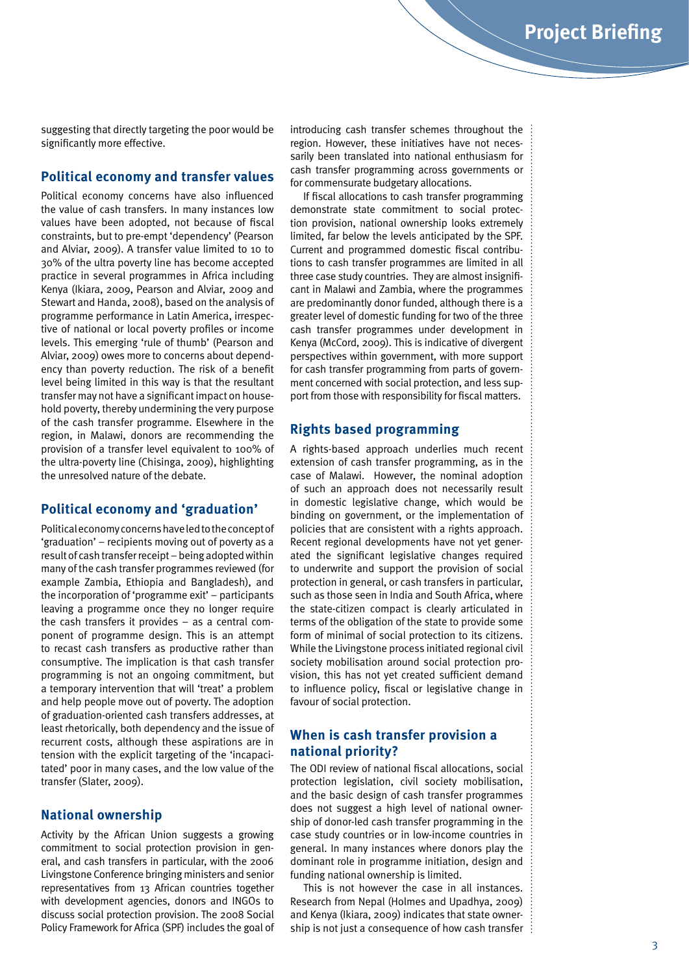suggesting that directly targeting the poor would be significantly more effective.

### **Political economy and transfer values**

Political economy concerns have also influenced the value of cash transfers. In many instances low values have been adopted, not because of fiscal constraints, but to pre-empt 'dependency' (Pearson and Alviar, 2009). A transfer value limited to 10 to 30% of the ultra poverty line has become accepted practice in several programmes in Africa including Kenya (Ikiara, 2009, Pearson and Alviar, 2009 and Stewart and Handa, 2008), based on the analysis of programme performance in Latin America, irrespective of national or local poverty profiles or income levels. This emerging 'rule of thumb' (Pearson and Alviar, 2009) owes more to concerns about dependency than poverty reduction. The risk of a benefit level being limited in this way is that the resultant transfer may not have a significant impact on household poverty, thereby undermining the very purpose of the cash transfer programme. Elsewhere in the region, in Malawi, donors are recommending the provision of a transfer level equivalent to 100% of the ultra-poverty line (Chisinga, 2009), highlighting the unresolved nature of the debate.

#### **Political economy and 'graduation'**

Political economy concerns have led to the concept of 'graduation' – recipients moving out of poverty as a result of cash transfer receipt – being adopted within many of the cash transfer programmes reviewed (for example Zambia, Ethiopia and Bangladesh), and the incorporation of 'programme exit' – participants leaving a programme once they no longer require the cash transfers it provides – as a central component of programme design. This is an attempt to recast cash transfers as productive rather than consumptive. The implication is that cash transfer programming is not an ongoing commitment, but a temporary intervention that will 'treat' a problem and help people move out of poverty. The adoption of graduation-oriented cash transfers addresses, at least rhetorically, both dependency and the issue of recurrent costs, although these aspirations are in tension with the explicit targeting of the 'incapacitated' poor in many cases, and the low value of the transfer (Slater, 2009).

#### **National ownership**

Activity by the African Union suggests a growing commitment to social protection provision in general, and cash transfers in particular, with the 2006 Livingstone Conference bringing ministers and senior representatives from 13 African countries together with development agencies, donors and INGOs to discuss social protection provision. The 2008 Social Policy Framework for Africa (SPF) includes the goal of introducing cash transfer schemes throughout the region. However, these initiatives have not necessarily been translated into national enthusiasm for cash transfer programming across governments or for commensurate budgetary allocations.

If fiscal allocations to cash transfer programming demonstrate state commitment to social protection provision, national ownership looks extremely limited, far below the levels anticipated by the SPF. Current and programmed domestic fiscal contributions to cash transfer programmes are limited in all three case study countries. They are almost insignificant in Malawi and Zambia, where the programmes are predominantly donor funded, although there is a greater level of domestic funding for two of the three cash transfer programmes under development in Kenya (McCord, 2009). This is indicative of divergent perspectives within government, with more support for cash transfer programming from parts of government concerned with social protection, and less support from those with responsibility for fiscal matters.

#### **Rights based programming**

A rights-based approach underlies much recent extension of cash transfer programming, as in the case of Malawi. However, the nominal adoption of such an approach does not necessarily result in domestic legislative change, which would be binding on government, or the implementation of policies that are consistent with a rights approach. Recent regional developments have not yet generated the significant legislative changes required to underwrite and support the provision of social protection in general, or cash transfers in particular, such as those seen in India and South Africa, where the state-citizen compact is clearly articulated in terms of the obligation of the state to provide some form of minimal of social protection to its citizens. While the Livingstone process initiated regional civil society mobilisation around social protection provision, this has not yet created sufficient demand to influence policy, fiscal or legislative change in favour of social protection.

# **When is cash transfer provision a national priority?**

The ODI review of national fiscal allocations, social protection legislation, civil society mobilisation, and the basic design of cash transfer programmes does not suggest a high level of national ownership of donor-led cash transfer programming in the case study countries or in low-income countries in general. In many instances where donors play the dominant role in programme initiation, design and funding national ownership is limited.

This is not however the case in all instances. Research from Nepal (Holmes and Upadhya, 2009) and Kenya (Ikiara, 2009) indicates that state ownership is not just a consequence of how cash transfer